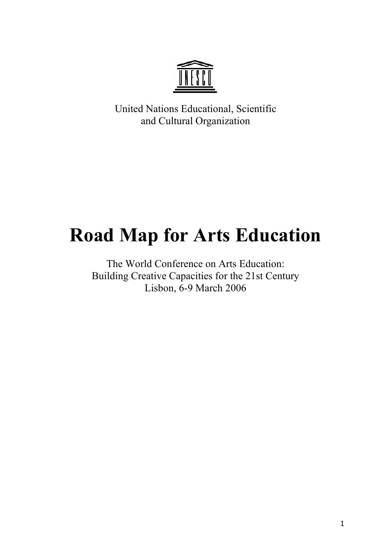

United Nations Educational, Scientific and Cultural Organization

# **Road Map for Arts Education**

The World Conference on Arts Education: Building Creative Capacities for the 21st Century Lisbon, 6-9 March 2006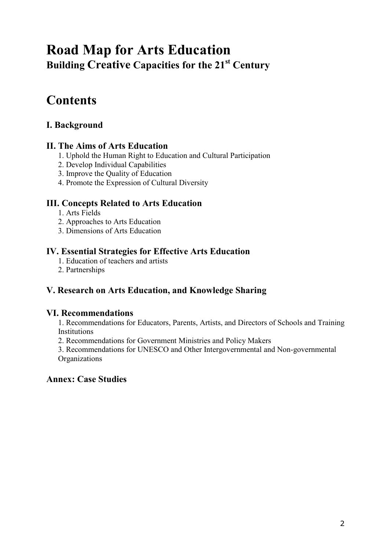## **Road Map for Arts Education Building Creative Capacities for the 21st Century**

## **Contents**

## **I. Background**

## **II. The Aims of Arts Education**

- 1. Uphold the Human Right to Education and Cultural Participation
- 2. Develop Individual Capabilities
- 3. Improve the Quality of Education
- 4. Promote the Expression of Cultural Diversity

## **III. Concepts Related to Arts Education**

- 1. Arts Fields
- 2. Approaches to Arts Education
- 3. Dimensions of Arts Education

## **IV. Essential Strategies for Effective Arts Education**

- 1. Education of teachers and artists
- 2. Partnerships

## **V. Research on Arts Education, and Knowledge Sharing**

## **VI. Recommendations**

1. Recommendations for Educators, Parents, Artists, and Directors of Schools and Training Institutions

2. Recommendations for Government Ministries and Policy Makers

3. Recommendations for UNESCO and Other Intergovernmental and Non-governmental **Organizations** 

## **Annex: Case Studies**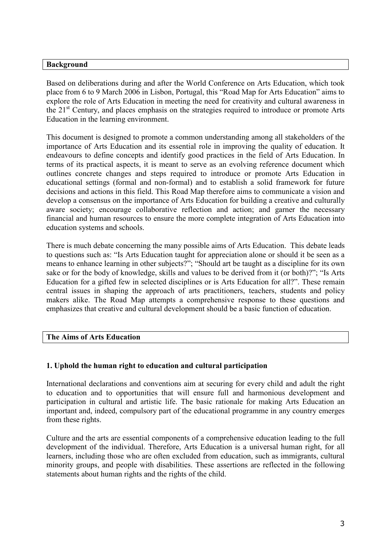#### **Background**

Based on deliberations during and after the World Conference on Arts Education, which took place from 6 to 9 March 2006 in Lisbon, Portugal, this "Road Map for Arts Education" aims to explore the role of Arts Education in meeting the need for creativity and cultural awareness in the 21st Century, and places emphasis on the strategies required to introduce or promote Arts Education in the learning environment.

This document is designed to promote a common understanding among all stakeholders of the importance of Arts Education and its essential role in improving the quality of education. It endeavours to define concepts and identify good practices in the field of Arts Education. In terms of its practical aspects, it is meant to serve as an evolving reference document which outlines concrete changes and steps required to introduce or promote Arts Education in educational settings (formal and non-formal) and to establish a solid framework for future decisions and actions in this field. This Road Map therefore aims to communicate a vision and develop a consensus on the importance of Arts Education for building a creative and culturally aware society; encourage collaborative reflection and action; and garner the necessary financial and human resources to ensure the more complete integration of Arts Education into education systems and schools.

There is much debate concerning the many possible aims of Arts Education. This debate leads to questions such as: "Is Arts Education taught for appreciation alone or should it be seen as a means to enhance learning in other subjects?"; "Should art be taught as a discipline for its own sake or for the body of knowledge, skills and values to be derived from it (or both)?"; "Is Arts Education for a gifted few in selected disciplines or is Arts Education for all?". These remain central issues in shaping the approach of arts practitioners, teachers, students and policy makers alike. The Road Map attempts a comprehensive response to these questions and emphasizes that creative and cultural development should be a basic function of education.

#### **The Aims of Arts Education**

#### **1. Uphold the human right to education and cultural participation**

International declarations and conventions aim at securing for every child and adult the right to education and to opportunities that will ensure full and harmonious development and participation in cultural and artistic life. The basic rationale for making Arts Education an important and, indeed, compulsory part of the educational programme in any country emerges from these rights.

Culture and the arts are essential components of a comprehensive education leading to the full development of the individual. Therefore, Arts Education is a universal human right, for all learners, including those who are often excluded from education, such as immigrants, cultural minority groups, and people with disabilities. These assertions are reflected in the following statements about human rights and the rights of the child.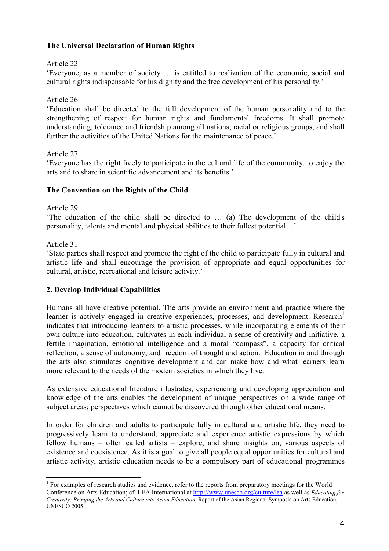#### **The Universal Declaration of Human Rights**

#### Article 22

'Everyone, as a member of society … is entitled to realization of the economic, social and cultural rights indispensable for his dignity and the free development of his personality.'

#### Article 26

'Education shall be directed to the full development of the human personality and to the strengthening of respect for human rights and fundamental freedoms. It shall promote understanding, tolerance and friendship among all nations, racial or religious groups, and shall further the activities of the United Nations for the maintenance of peace.'

#### Article 27

'Everyone has the right freely to participate in the cultural life of the community, to enjoy the arts and to share in scientific advancement and its benefits.'

#### **The Convention on the Rights of the Child**

#### Article 29

'The education of the child shall be directed to … (a) The development of the child's personality, talents and mental and physical abilities to their fullest potential…'

#### Article 31

'State parties shall respect and promote the right of the child to participate fully in cultural and artistic life and shall encourage the provision of appropriate and equal opportunities for cultural, artistic, recreational and leisure activity.'

#### **2. Develop Individual Capabilities**

Humans all have creative potential. The arts provide an environment and practice where the learner is actively engaged in creative experiences, processes, and development. Research<sup>1</sup> indicates that introducing learners to artistic processes, while incorporating elements of their own culture into education, cultivates in each individual a sense of creativity and initiative, a fertile imagination, emotional intelligence and a moral "compass", a capacity for critical reflection, a sense of autonomy, and freedom of thought and action. Education in and through the arts also stimulates cognitive development and can make how and what learners learn more relevant to the needs of the modern societies in which they live.

As extensive educational literature illustrates, experiencing and developing appreciation and knowledge of the arts enables the development of unique perspectives on a wide range of subject areas; perspectives which cannot be discovered through other educational means.

In order for children and adults to participate fully in cultural and artistic life, they need to progressively learn to understand, appreciate and experience artistic expressions by which fellow humans – often called artists – explore, and share insights on, various aspects of existence and coexistence. As it is a goal to give all people equal opportunities for cultural and artistic activity, artistic education needs to be a compulsory part of educational programmes

<sup>&</sup>lt;sup>1</sup> For examples of research studies and evidence, refer to the reports from preparatory meetings for the World Conference on Arts Education; cf. LEA International at http://www.unesco.org/culture/lea as well as *Educating for Creativity: Bringing the Arts and Culture into Asian Education*, Report of the Asian Regional Symposia on Arts Education, UNESCO 2005.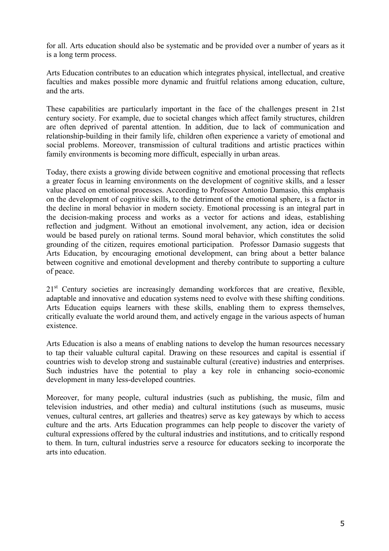for all. Arts education should also be systematic and be provided over a number of years as it is a long term process.

Arts Education contributes to an education which integrates physical, intellectual, and creative faculties and makes possible more dynamic and fruitful relations among education, culture, and the arts.

These capabilities are particularly important in the face of the challenges present in 21st century society. For example, due to societal changes which affect family structures, children are often deprived of parental attention. In addition, due to lack of communication and relationship-building in their family life, children often experience a variety of emotional and social problems. Moreover, transmission of cultural traditions and artistic practices within family environments is becoming more difficult, especially in urban areas.

Today, there exists a growing divide between cognitive and emotional processing that reflects a greater focus in learning environments on the development of cognitive skills, and a lesser value placed on emotional processes. According to Professor Antonio Damasio, this emphasis on the development of cognitive skills, to the detriment of the emotional sphere, is a factor in the decline in moral behavior in modern society. Emotional processing is an integral part in the decision-making process and works as a vector for actions and ideas, establishing reflection and judgment. Without an emotional involvement, any action, idea or decision would be based purely on rational terms. Sound moral behavior, which constitutes the solid grounding of the citizen, requires emotional participation. Professor Damasio suggests that Arts Education, by encouraging emotional development, can bring about a better balance between cognitive and emotional development and thereby contribute to supporting a culture of peace.

21<sup>st</sup> Century societies are increasingly demanding workforces that are creative, flexible, adaptable and innovative and education systems need to evolve with these shifting conditions. Arts Education equips learners with these skills, enabling them to express themselves, critically evaluate the world around them, and actively engage in the various aspects of human existence.

Arts Education is also a means of enabling nations to develop the human resources necessary to tap their valuable cultural capital. Drawing on these resources and capital is essential if countries wish to develop strong and sustainable cultural (creative) industries and enterprises. Such industries have the potential to play a key role in enhancing socio-economic development in many less-developed countries.

Moreover, for many people, cultural industries (such as publishing, the music, film and television industries, and other media) and cultural institutions (such as museums, music venues, cultural centres, art galleries and theatres) serve as key gateways by which to access culture and the arts. Arts Education programmes can help people to discover the variety of cultural expressions offered by the cultural industries and institutions, and to critically respond to them. In turn, cultural industries serve a resource for educators seeking to incorporate the arts into education.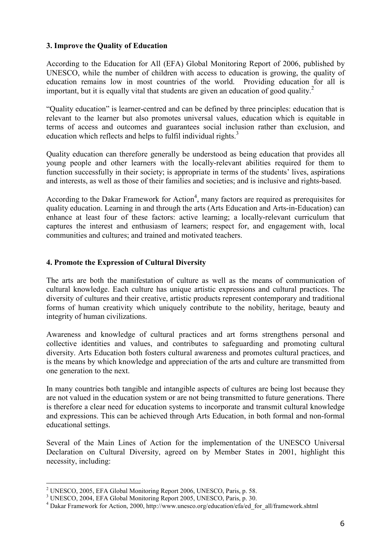#### **3. Improve the Quality of Education**

According to the Education for All (EFA) Global Monitoring Report of 2006, published by UNESCO, while the number of children with access to education is growing, the quality of education remains low in most countries of the world. Providing education for all is important, but it is equally vital that students are given an education of good quality.<sup>2</sup>

"Quality education" is learner-centred and can be defined by three principles: education that is relevant to the learner but also promotes universal values, education which is equitable in terms of access and outcomes and guarantees social inclusion rather than exclusion, and education which reflects and helps to fulfil individual rights. $3<sup>3</sup>$ 

Quality education can therefore generally be understood as being education that provides all young people and other learners with the locally-relevant abilities required for them to function successfully in their society; is appropriate in terms of the students' lives, aspirations and interests, as well as those of their families and societies; and is inclusive and rights-based.

According to the Dakar Framework for Action<sup>4</sup>, many factors are required as prerequisites for quality education. Learning in and through the arts (Arts Education and Arts-in-Education) can enhance at least four of these factors: active learning; a locally-relevant curriculum that captures the interest and enthusiasm of learners; respect for, and engagement with, local communities and cultures; and trained and motivated teachers.

#### **4. Promote the Expression of Cultural Diversity**

The arts are both the manifestation of culture as well as the means of communication of cultural knowledge. Each culture has unique artistic expressions and cultural practices. The diversity of cultures and their creative, artistic products represent contemporary and traditional forms of human creativity which uniquely contribute to the nobility, heritage, beauty and integrity of human civilizations.

Awareness and knowledge of cultural practices and art forms strengthens personal and collective identities and values, and contributes to safeguarding and promoting cultural diversity. Arts Education both fosters cultural awareness and promotes cultural practices, and is the means by which knowledge and appreciation of the arts and culture are transmitted from one generation to the next.

In many countries both tangible and intangible aspects of cultures are being lost because they are not valued in the education system or are not being transmitted to future generations. There is therefore a clear need for education systems to incorporate and transmit cultural knowledge and expressions. This can be achieved through Arts Education, in both formal and non-formal educational settings.

Several of the Main Lines of Action for the implementation of the UNESCO Universal Declaration on Cultural Diversity, agreed on by Member States in 2001, highlight this necessity, including:

<sup>2</sup> UNESCO, 2005, EFA Global Monitoring Report 2006, UNESCO, Paris, p. 58.

<sup>3</sup> UNESCO, 2004, EFA Global Monitoring Report 2005, UNESCO, Paris, p. 30.

<sup>&</sup>lt;sup>4</sup> Dakar Framework for Action, 2000, http://www.unesco.org/education/efa/ed\_for\_all/framework.shtml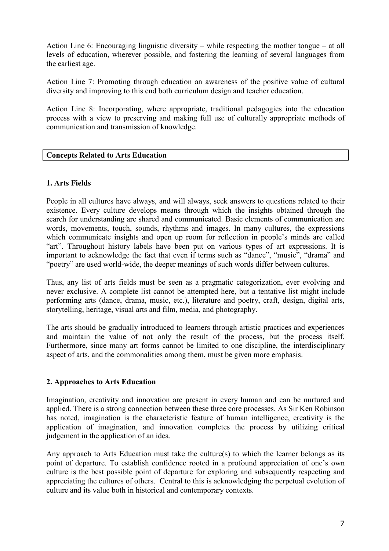Action Line 6: Encouraging linguistic diversity – while respecting the mother tongue – at all levels of education, wherever possible, and fostering the learning of several languages from the earliest age.

Action Line 7: Promoting through education an awareness of the positive value of cultural diversity and improving to this end both curriculum design and teacher education.

Action Line 8: Incorporating, where appropriate, traditional pedagogies into the education process with a view to preserving and making full use of culturally appropriate methods of communication and transmission of knowledge.

#### **Concepts Related to Arts Education**

#### **1. Arts Fields**

People in all cultures have always, and will always, seek answers to questions related to their existence. Every culture develops means through which the insights obtained through the search for understanding are shared and communicated. Basic elements of communication are words, movements, touch, sounds, rhythms and images. In many cultures, the expressions which communicate insights and open up room for reflection in people's minds are called "art". Throughout history labels have been put on various types of art expressions. It is important to acknowledge the fact that even if terms such as "dance", "music", "drama" and "poetry" are used world-wide, the deeper meanings of such words differ between cultures.

Thus, any list of arts fields must be seen as a pragmatic categorization, ever evolving and never exclusive. A complete list cannot be attempted here, but a tentative list might include performing arts (dance, drama, music, etc.), literature and poetry, craft, design, digital arts, storytelling, heritage, visual arts and film, media, and photography.

The arts should be gradually introduced to learners through artistic practices and experiences and maintain the value of not only the result of the process, but the process itself. Furthermore, since many art forms cannot be limited to one discipline, the interdisciplinary aspect of arts, and the commonalities among them, must be given more emphasis.

## **2. Approaches to Arts Education**

Imagination, creativity and innovation are present in every human and can be nurtured and applied. There is a strong connection between these three core processes. As Sir Ken Robinson has noted, imagination is the characteristic feature of human intelligence, creativity is the application of imagination, and innovation completes the process by utilizing critical judgement in the application of an idea.

Any approach to Arts Education must take the culture(s) to which the learner belongs as its point of departure. To establish confidence rooted in a profound appreciation of one's own culture is the best possible point of departure for exploring and subsequently respecting and appreciating the cultures of others. Central to this is acknowledging the perpetual evolution of culture and its value both in historical and contemporary contexts.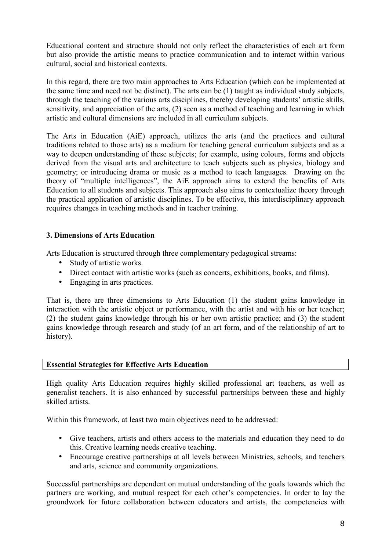Educational content and structure should not only reflect the characteristics of each art form but also provide the artistic means to practice communication and to interact within various cultural, social and historical contexts.

In this regard, there are two main approaches to Arts Education (which can be implemented at the same time and need not be distinct). The arts can be (1) taught as individual study subjects, through the teaching of the various arts disciplines, thereby developing students' artistic skills, sensitivity, and appreciation of the arts, (2) seen as a method of teaching and learning in which artistic and cultural dimensions are included in all curriculum subjects.

The Arts in Education (AiE) approach, utilizes the arts (and the practices and cultural traditions related to those arts) as a medium for teaching general curriculum subjects and as a way to deepen understanding of these subjects; for example, using colours, forms and objects derived from the visual arts and architecture to teach subjects such as physics, biology and geometry; or introducing drama or music as a method to teach languages. Drawing on the theory of "multiple intelligences", the AiE approach aims to extend the benefits of Arts Education to all students and subjects. This approach also aims to contextualize theory through the practical application of artistic disciplines. To be effective, this interdisciplinary approach requires changes in teaching methods and in teacher training.

## **3. Dimensions of Arts Education**

Arts Education is structured through three complementary pedagogical streams:

- Study of artistic works.
- Direct contact with artistic works (such as concerts, exhibitions, books, and films).
- Engaging in arts practices.

That is, there are three dimensions to Arts Education (1) the student gains knowledge in interaction with the artistic object or performance, with the artist and with his or her teacher; (2) the student gains knowledge through his or her own artistic practice; and (3) the student gains knowledge through research and study (of an art form, and of the relationship of art to history).

#### **Essential Strategies for Effective Arts Education**

High quality Arts Education requires highly skilled professional art teachers, as well as generalist teachers. It is also enhanced by successful partnerships between these and highly skilled artists.

Within this framework, at least two main objectives need to be addressed:

- Give teachers, artists and others access to the materials and education they need to do this. Creative learning needs creative teaching.
- Encourage creative partnerships at all levels between Ministries, schools, and teachers and arts, science and community organizations.

Successful partnerships are dependent on mutual understanding of the goals towards which the partners are working, and mutual respect for each other's competencies. In order to lay the groundwork for future collaboration between educators and artists, the competencies with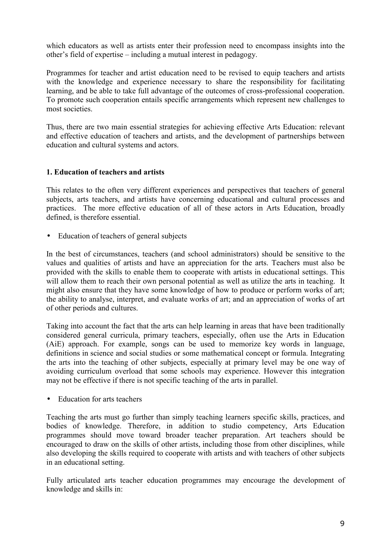which educators as well as artists enter their profession need to encompass insights into the other's field of expertise – including a mutual interest in pedagogy.

Programmes for teacher and artist education need to be revised to equip teachers and artists with the knowledge and experience necessary to share the responsibility for facilitating learning, and be able to take full advantage of the outcomes of cross-professional cooperation. To promote such cooperation entails specific arrangements which represent new challenges to most societies.

Thus, there are two main essential strategies for achieving effective Arts Education: relevant and effective education of teachers and artists, and the development of partnerships between education and cultural systems and actors.

#### **1. Education of teachers and artists**

This relates to the often very different experiences and perspectives that teachers of general subjects, arts teachers, and artists have concerning educational and cultural processes and practices. The more effective education of all of these actors in Arts Education, broadly defined, is therefore essential.

• Education of teachers of general subjects

In the best of circumstances, teachers (and school administrators) should be sensitive to the values and qualities of artists and have an appreciation for the arts. Teachers must also be provided with the skills to enable them to cooperate with artists in educational settings. This will allow them to reach their own personal potential as well as utilize the arts in teaching. It might also ensure that they have some knowledge of how to produce or perform works of art; the ability to analyse, interpret, and evaluate works of art; and an appreciation of works of art of other periods and cultures.

Taking into account the fact that the arts can help learning in areas that have been traditionally considered general curricula, primary teachers, especially, often use the Arts in Education (AiE) approach. For example, songs can be used to memorize key words in language, definitions in science and social studies or some mathematical concept or formula. Integrating the arts into the teaching of other subjects, especially at primary level may be one way of avoiding curriculum overload that some schools may experience. However this integration may not be effective if there is not specific teaching of the arts in parallel.

• Education for arts teachers

Teaching the arts must go further than simply teaching learners specific skills, practices, and bodies of knowledge. Therefore, in addition to studio competency, Arts Education programmes should move toward broader teacher preparation. Art teachers should be encouraged to draw on the skills of other artists, including those from other disciplines, while also developing the skills required to cooperate with artists and with teachers of other subjects in an educational setting.

Fully articulated arts teacher education programmes may encourage the development of knowledge and skills in: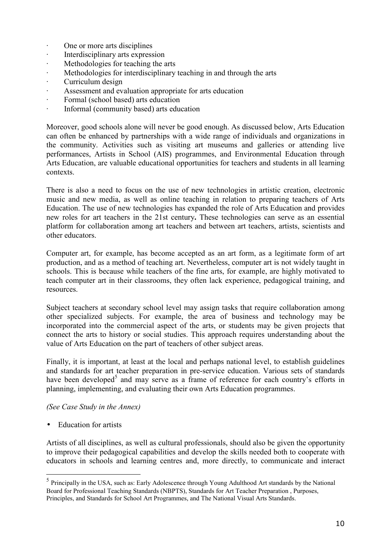- · One or more arts disciplines
- · Interdisciplinary arts expression
- · Methodologies for teaching the arts
- Methodologies for interdisciplinary teaching in and through the arts
- Curriculum design
- Assessment and evaluation appropriate for arts education
- Formal (school based) arts education
- · Informal (community based) arts education

Moreover, good schools alone will never be good enough. As discussed below, Arts Education can often be enhanced by partnerships with a wide range of individuals and organizations in the community. Activities such as visiting art museums and galleries or attending live performances, Artists in School (AIS) programmes, and Environmental Education through Arts Education, are valuable educational opportunities for teachers and students in all learning contexts.

There is also a need to focus on the use of new technologies in artistic creation, electronic music and new media, as well as online teaching in relation to preparing teachers of Arts Education. The use of new technologies has expanded the role of Arts Education and provides new roles for art teachers in the 21st century**.** These technologies can serve as an essential platform for collaboration among art teachers and between art teachers, artists, scientists and other educators.

Computer art, for example, has become accepted as an art form, as a legitimate form of art production, and as a method of teaching art. Nevertheless, computer art is not widely taught in schools. This is because while teachers of the fine arts, for example, are highly motivated to teach computer art in their classrooms, they often lack experience, pedagogical training, and resources.

Subject teachers at secondary school level may assign tasks that require collaboration among other specialized subjects. For example, the area of business and technology may be incorporated into the commercial aspect of the arts, or students may be given projects that connect the arts to history or social studies. This approach requires understanding about the value of Arts Education on the part of teachers of other subject areas.

Finally, it is important, at least at the local and perhaps national level, to establish guidelines and standards for art teacher preparation in pre-service education. Various sets of standards have been developed<sup>5</sup> and may serve as a frame of reference for each country's efforts in planning, implementing, and evaluating their own Arts Education programmes.

#### *(See Case Study in the Annex)*

• Education for artists

Artists of all disciplines, as well as cultural professionals, should also be given the opportunity to improve their pedagogical capabilities and develop the skills needed both to cooperate with educators in schools and learning centres and, more directly, to communicate and interact

<sup>&</sup>lt;sup>5</sup> Principally in the USA, such as: Early Adolescence through Young Adulthood Art standards by the National Board for Professional Teaching Standards (NBPTS), Standards for Art Teacher Preparation , Purposes, Principles, and Standards for School Art Programmes, and The National Visual Arts Standards.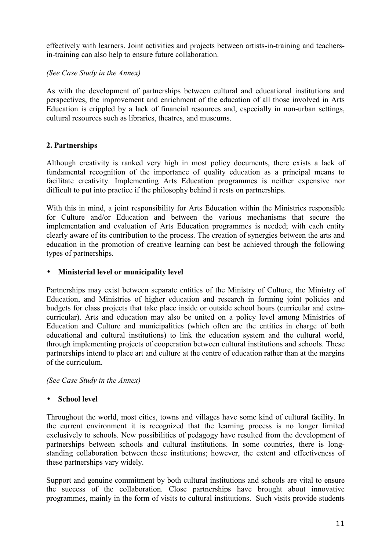effectively with learners. Joint activities and projects between artists-in-training and teachersin-training can also help to ensure future collaboration.

*(See Case Study in the Annex)* 

As with the development of partnerships between cultural and educational institutions and perspectives, the improvement and enrichment of the education of all those involved in Arts Education is crippled by a lack of financial resources and, especially in non-urban settings, cultural resources such as libraries, theatres, and museums.

## **2. Partnerships**

Although creativity is ranked very high in most policy documents, there exists a lack of fundamental recognition of the importance of quality education as a principal means to facilitate creativity. Implementing Arts Education programmes is neither expensive nor difficult to put into practice if the philosophy behind it rests on partnerships.

With this in mind, a joint responsibility for Arts Education within the Ministries responsible for Culture and/or Education and between the various mechanisms that secure the implementation and evaluation of Arts Education programmes is needed; with each entity clearly aware of its contribution to the process. The creation of synergies between the arts and education in the promotion of creative learning can best be achieved through the following types of partnerships.

#### • **Ministerial level or municipality level**

Partnerships may exist between separate entities of the Ministry of Culture, the Ministry of Education, and Ministries of higher education and research in forming joint policies and budgets for class projects that take place inside or outside school hours (curricular and extracurricular). Arts and education may also be united on a policy level among Ministries of Education and Culture and municipalities (which often are the entities in charge of both educational and cultural institutions) to link the education system and the cultural world, through implementing projects of cooperation between cultural institutions and schools. These partnerships intend to place art and culture at the centre of education rather than at the margins of the curriculum.

*(See Case Study in the Annex)* 

## • **School level**

Throughout the world, most cities, towns and villages have some kind of cultural facility. In the current environment it is recognized that the learning process is no longer limited exclusively to schools. New possibilities of pedagogy have resulted from the development of partnerships between schools and cultural institutions. In some countries, there is longstanding collaboration between these institutions; however, the extent and effectiveness of these partnerships vary widely.

Support and genuine commitment by both cultural institutions and schools are vital to ensure the success of the collaboration. Close partnerships have brought about innovative programmes, mainly in the form of visits to cultural institutions. Such visits provide students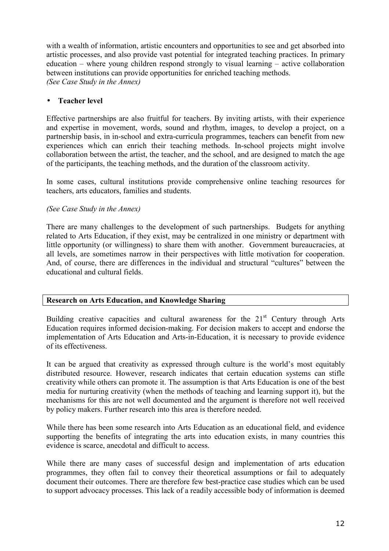with a wealth of information, artistic encounters and opportunities to see and get absorbed into artistic processes, and also provide vast potential for integrated teaching practices. In primary education – where young children respond strongly to visual learning – active collaboration between institutions can provide opportunities for enriched teaching methods. *(See Case Study in the Annex)* 

#### • **Teacher level**

Effective partnerships are also fruitful for teachers. By inviting artists, with their experience and expertise in movement, words, sound and rhythm, images, to develop a project, on a partnership basis, in in-school and extra-curricula programmes, teachers can benefit from new experiences which can enrich their teaching methods. In-school projects might involve collaboration between the artist, the teacher, and the school, and are designed to match the age of the participants, the teaching methods, and the duration of the classroom activity.

In some cases, cultural institutions provide comprehensive online teaching resources for teachers, arts educators, families and students.

#### *(See Case Study in the Annex)*

There are many challenges to the development of such partnerships. Budgets for anything related to Arts Education, if they exist, may be centralized in one ministry or department with little opportunity (or willingness) to share them with another. Government bureaucracies, at all levels, are sometimes narrow in their perspectives with little motivation for cooperation. And, of course, there are differences in the individual and structural "cultures" between the educational and cultural fields.

#### **Research on Arts Education, and Knowledge Sharing**

Building creative capacities and cultural awareness for the  $21<sup>st</sup>$  Century through Arts Education requires informed decision-making. For decision makers to accept and endorse the implementation of Arts Education and Arts-in-Education, it is necessary to provide evidence of its effectiveness.

It can be argued that creativity as expressed through culture is the world's most equitably distributed resource. However, research indicates that certain education systems can stifle creativity while others can promote it. The assumption is that Arts Education is one of the best media for nurturing creativity (when the methods of teaching and learning support it), but the mechanisms for this are not well documented and the argument is therefore not well received by policy makers. Further research into this area is therefore needed.

While there has been some research into Arts Education as an educational field, and evidence supporting the benefits of integrating the arts into education exists, in many countries this evidence is scarce, anecdotal and difficult to access.

While there are many cases of successful design and implementation of arts education programmes, they often fail to convey their theoretical assumptions or fail to adequately document their outcomes. There are therefore few best-practice case studies which can be used to support advocacy processes. This lack of a readily accessible body of information is deemed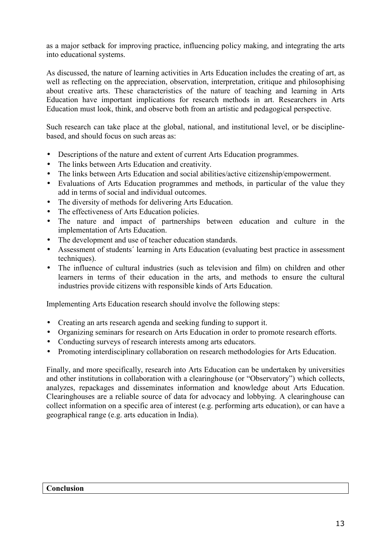as a major setback for improving practice, influencing policy making, and integrating the arts into educational systems.

As discussed, the nature of learning activities in Arts Education includes the creating of art, as well as reflecting on the appreciation, observation, interpretation, critique and philosophising about creative arts. These characteristics of the nature of teaching and learning in Arts Education have important implications for research methods in art. Researchers in Arts Education must look, think, and observe both from an artistic and pedagogical perspective.

Such research can take place at the global, national, and institutional level, or be disciplinebased, and should focus on such areas as:

- Descriptions of the nature and extent of current Arts Education programmes.
- The links between Arts Education and creativity.
- The links between Arts Education and social abilities/active citizenship/empowerment.
- Evaluations of Arts Education programmes and methods, in particular of the value they add in terms of social and individual outcomes.
- The diversity of methods for delivering Arts Education.
- The effectiveness of Arts Education policies.
- The nature and impact of partnerships between education and culture in the implementation of Arts Education.
- The development and use of teacher education standards.
- Assessment of students´ learning in Arts Education (evaluating best practice in assessment techniques).
- The influence of cultural industries (such as television and film) on children and other learners in terms of their education in the arts, and methods to ensure the cultural industries provide citizens with responsible kinds of Arts Education.

Implementing Arts Education research should involve the following steps:

- Creating an arts research agenda and seeking funding to support it.
- Organizing seminars for research on Arts Education in order to promote research efforts.
- Conducting surveys of research interests among arts educators.
- Promoting interdisciplinary collaboration on research methodologies for Arts Education.

Finally, and more specifically, research into Arts Education can be undertaken by universities and other institutions in collaboration with a clearinghouse (or "Observatory") which collects, analyzes, repackages and disseminates information and knowledge about Arts Education. Clearinghouses are a reliable source of data for advocacy and lobbying. A clearinghouse can collect information on a specific area of interest (e.g. performing arts education), or can have a geographical range (e.g. arts education in India).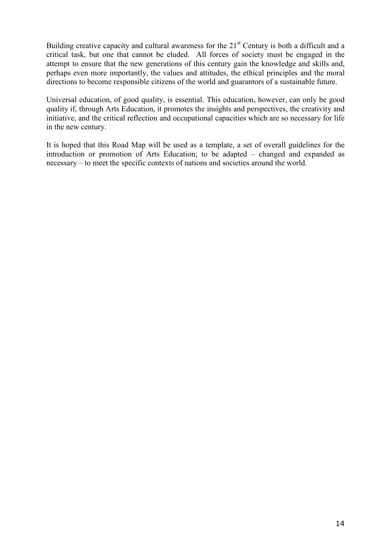Building creative capacity and cultural awareness for the  $21<sup>st</sup>$  Century is both a difficult and a critical task, but one that cannot be eluded. All forces of society must be engaged in the attempt to ensure that the new generations of this century gain the knowledge and skills and, perhaps even more importantly, the values and attitudes, the ethical principles and the moral directions to become responsible citizens of the world and guarantors of a sustainable future.

Universal education, of good quality, is essential. This education, however, can only be good quality if, through Arts Education, it promotes the insights and perspectives, the creativity and initiative, and the critical reflection and occupational capacities which are so necessary for life in the new century.

It is hoped that this Road Map will be used as a template, a set of overall guidelines for the introduction or promotion of Arts Education; to be adapted – changed and expanded as necessary – to meet the specific contexts of nations and societies around the world.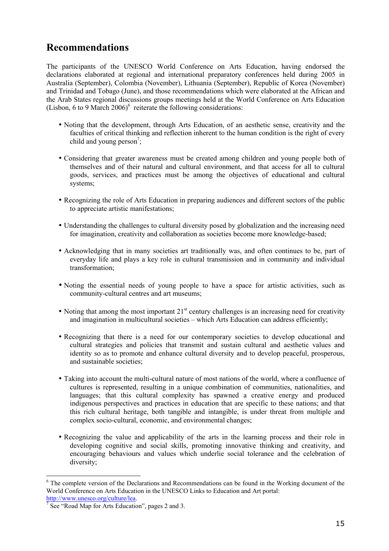## **Recommendations**

The participants of the UNESCO World Conference on Arts Education, having endorsed the declarations elaborated at regional and international preparatory conferences held during 2005 in Australia (September), Colombia (November), Lithuania (September), Republic of Korea (November) and Trinidad and Tobago (June), and those recommendations which were elaborated at the African and the Arab States regional discussions groups meetings held at the World Conference on Arts Education (Lisbon, 6 to 9 March 2006) $^6$  reiterate the following considerations:

- Noting that the development, through Arts Education, of an aesthetic sense, creativity and the faculties of critical thinking and reflection inherent to the human condition is the right of every child and young person<sup>7</sup>;
- Considering that greater awareness must be created among children and young people both of themselves and of their natural and cultural environment, and that access for all to cultural goods, services, and practices must be among the objectives of educational and cultural systems;
- Recognizing the role of Arts Education in preparing audiences and different sectors of the public to appreciate artistic manifestations;
- Understanding the challenges to cultural diversity posed by globalization and the increasing need for imagination, creativity and collaboration as societies become more knowledge-based;
- Acknowledging that in many societies art traditionally was, and often continues to be, part of everyday life and plays a key role in cultural transmission and in community and individual transformation;
- Noting the essential needs of young people to have a space for artistic activities, such as community-cultural centres and art museums;
- Noting that among the most important  $21<sup>st</sup>$  century challenges is an increasing need for creativity and imagination in multicultural societies – which Arts Education can address efficiently;
- Recognizing that there is a need for our contemporary societies to develop educational and cultural strategies and policies that transmit and sustain cultural and aesthetic values and identity so as to promote and enhance cultural diversity and to develop peaceful, prosperous, and sustainable societies;
- Taking into account the multi-cultural nature of most nations of the world, where a confluence of cultures is represented, resulting in a unique combination of communities, nationalities, and languages; that this cultural complexity has spawned a creative energy and produced indigenous perspectives and practices in education that are specific to these nations; and that this rich cultural heritage, both tangible and intangible, is under threat from multiple and complex socio-cultural, economic, and environmental changes;
- Recognizing the value and applicability of the arts in the learning process and their role in developing cognitive and social skills, promoting innovative thinking and creativity, and encouraging behaviours and values which underlie social tolerance and the celebration of diversity;

<sup>&</sup>lt;sup>6</sup> The complete version of the Declarations and Recommendations can be found in the Working document of the World Conference on Arts Education in the UNESCO Links to Education and Art portal:<br>http://www.unesco.org/culture/lea.

 $\frac{1}{7}$  See "Road Map for Arts Education", pages 2 and 3.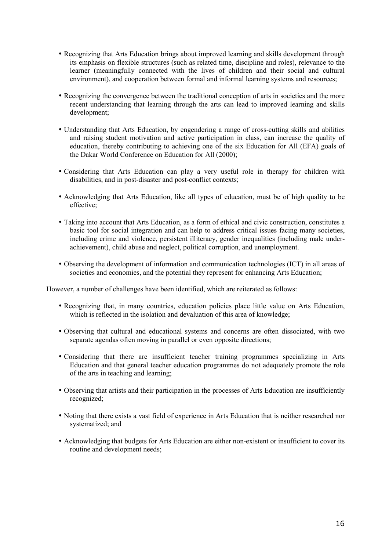- Recognizing that Arts Education brings about improved learning and skills development through its emphasis on flexible structures (such as related time, discipline and roles), relevance to the learner (meaningfully connected with the lives of children and their social and cultural environment), and cooperation between formal and informal learning systems and resources;
- Recognizing the convergence between the traditional conception of arts in societies and the more recent understanding that learning through the arts can lead to improved learning and skills development;
- Understanding that Arts Education, by engendering a range of cross-cutting skills and abilities and raising student motivation and active participation in class, can increase the quality of education, thereby contributing to achieving one of the six Education for All (EFA) goals of the Dakar World Conference on Education for All (2000);
- Considering that Arts Education can play a very useful role in therapy for children with disabilities, and in post-disaster and post-conflict contexts;
- Acknowledging that Arts Education, like all types of education, must be of high quality to be effective;
- Taking into account that Arts Education, as a form of ethical and civic construction, constitutes a basic tool for social integration and can help to address critical issues facing many societies, including crime and violence, persistent illiteracy, gender inequalities (including male underachievement), child abuse and neglect, political corruption, and unemployment.
- Observing the development of information and communication technologies (ICT) in all areas of societies and economies, and the potential they represent for enhancing Arts Education;

However, a number of challenges have been identified, which are reiterated as follows:

- Recognizing that, in many countries, education policies place little value on Arts Education, which is reflected in the isolation and devaluation of this area of knowledge:
- Observing that cultural and educational systems and concerns are often dissociated, with two separate agendas often moving in parallel or even opposite directions;
- Considering that there are insufficient teacher training programmes specializing in Arts Education and that general teacher education programmes do not adequately promote the role of the arts in teaching and learning;
- Observing that artists and their participation in the processes of Arts Education are insufficiently recognized;
- Noting that there exists a vast field of experience in Arts Education that is neither researched nor systematized; and
- Acknowledging that budgets for Arts Education are either non-existent or insufficient to cover its routine and development needs;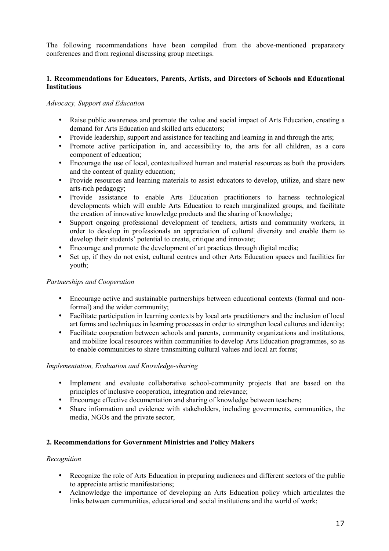The following recommendations have been compiled from the above-mentioned preparatory conferences and from regional discussing group meetings.

#### **1. Recommendations for Educators, Parents, Artists, and Directors of Schools and Educational Institutions**

#### *Advocacy, Support and Education*

- Raise public awareness and promote the value and social impact of Arts Education, creating a demand for Arts Education and skilled arts educators;
- Provide leadership, support and assistance for teaching and learning in and through the arts;
- Promote active participation in, and accessibility to, the arts for all children, as a core component of education;
- Encourage the use of local, contextualized human and material resources as both the providers and the content of quality education;
- Provide resources and learning materials to assist educators to develop, utilize, and share new arts-rich pedagogy;
- Provide assistance to enable Arts Education practitioners to harness technological developments which will enable Arts Education to reach marginalized groups, and facilitate the creation of innovative knowledge products and the sharing of knowledge;
- Support ongoing professional development of teachers, artists and community workers, in order to develop in professionals an appreciation of cultural diversity and enable them to develop their students' potential to create, critique and innovate;
- Encourage and promote the development of art practices through digital media;
- Set up, if they do not exist, cultural centres and other Arts Education spaces and facilities for youth;

#### *Partnerships and Cooperation*

- Encourage active and sustainable partnerships between educational contexts (formal and nonformal) and the wider community;
- Facilitate participation in learning contexts by local arts practitioners and the inclusion of local art forms and techniques in learning processes in order to strengthen local cultures and identity;
- Facilitate cooperation between schools and parents, community organizations and institutions, and mobilize local resources within communities to develop Arts Education programmes, so as to enable communities to share transmitting cultural values and local art forms;

#### *Implementation, Evaluation and Knowledge-sharing*

- Implement and evaluate collaborative school-community projects that are based on the principles of inclusive cooperation, integration and relevance;
- Encourage effective documentation and sharing of knowledge between teachers;
- Share information and evidence with stakeholders, including governments, communities, the media, NGOs and the private sector;

#### **2. Recommendations for Government Ministries and Policy Makers**

#### *Recognition*

- Recognize the role of Arts Education in preparing audiences and different sectors of the public to appreciate artistic manifestations;
- Acknowledge the importance of developing an Arts Education policy which articulates the links between communities, educational and social institutions and the world of work;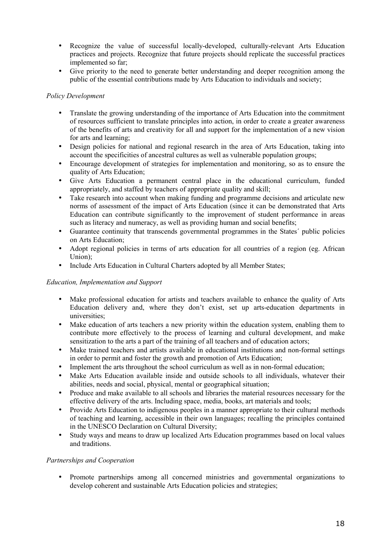- Recognize the value of successful locally-developed, culturally-relevant Arts Education practices and projects. Recognize that future projects should replicate the successful practices implemented so far;
- Give priority to the need to generate better understanding and deeper recognition among the public of the essential contributions made by Arts Education to individuals and society;

#### *Policy Development*

- Translate the growing understanding of the importance of Arts Education into the commitment of resources sufficient to translate principles into action, in order to create a greater awareness of the benefits of arts and creativity for all and support for the implementation of a new vision for arts and learning;
- Design policies for national and regional research in the area of Arts Education, taking into account the specificities of ancestral cultures as well as vulnerable population groups;
- Encourage development of strategies for implementation and monitoring, so as to ensure the quality of Arts Education;
- Give Arts Education a permanent central place in the educational curriculum, funded appropriately, and staffed by teachers of appropriate quality and skill;
- Take research into account when making funding and programme decisions and articulate new norms of assessment of the impact of Arts Education (since it can be demonstrated that Arts Education can contribute significantly to the improvement of student performance in areas such as literacy and numeracy, as well as providing human and social benefits;
- Guarantee continuity that transcends governmental programmes in the States´ public policies on Arts Education;
- Adopt regional policies in terms of arts education for all countries of a region (eg. African Union);
- Include Arts Education in Cultural Charters adopted by all Member States;

#### *Education, Implementation and Support*

- Make professional education for artists and teachers available to enhance the quality of Arts Education delivery and, where they don't exist, set up arts-education departments in universities;
- Make education of arts teachers a new priority within the education system, enabling them to contribute more effectively to the process of learning and cultural development, and make sensitization to the arts a part of the training of all teachers and of education actors;
- Make trained teachers and artists available in educational institutions and non-formal settings in order to permit and foster the growth and promotion of Arts Education;
- Implement the arts throughout the school curriculum as well as in non-formal education;
- Make Arts Education available inside and outside schools to all individuals, whatever their abilities, needs and social, physical, mental or geographical situation;
- Produce and make available to all schools and libraries the material resources necessary for the effective delivery of the arts. Including space, media, books, art materials and tools;
- Provide Arts Education to indigenous peoples in a manner appropriate to their cultural methods of teaching and learning, accessible in their own languages; recalling the principles contained in the UNESCO Declaration on Cultural Diversity;
- Study ways and means to draw up localized Arts Education programmes based on local values and traditions.

#### *Partnerships and Cooperation*

• Promote partnerships among all concerned ministries and governmental organizations to develop coherent and sustainable Arts Education policies and strategies;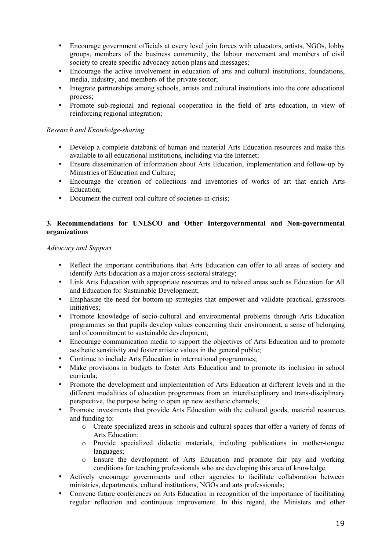- Encourage government officials at every level join forces with educators, artists, NGOs, lobby groups, members of the business community, the labour movement and members of civil society to create specific advocacy action plans and messages;
- Encourage the active involvement in education of arts and cultural institutions, foundations, media, industry, and members of the private sector;
- Integrate partnerships among schools, artists and cultural institutions into the core educational process;
- Promote sub-regional and regional cooperation in the field of arts education, in view of reinforcing regional integration;

#### *Research and Knowledge-sharing*

- Develop a complete databank of human and material Arts Education resources and make this available to all educational institutions, including via the Internet;
- Ensure dissemination of information about Arts Education, implementation and follow-up by Ministries of Education and Culture;
- Encourage the creation of collections and inventories of works of art that enrich Arts Education<sup>:</sup>
- Document the current oral culture of societies-in-crisis:

#### **3. Recommendations for UNESCO and Other Intergovernmental and Non-governmental organizations**

#### *Advocacy and Support*

- Reflect the important contributions that Arts Education can offer to all areas of society and identify Arts Education as a major cross-sectoral strategy;
- Link Arts Education with appropriate resources and to related areas such as Education for All and Education for Sustainable Development;
- Emphasize the need for bottom-up strategies that empower and validate practical, grassroots initiatives;
- Promote knowledge of socio-cultural and environmental problems through Arts Education programmes so that pupils develop values concerning their environment, a sense of belonging and of commitment to sustainable development;
- Encourage communication media to support the objectives of Arts Education and to promote aesthetic sensitivity and foster artistic values in the general public;
- Continue to include Arts Education in international programmes;
- Make provisions in budgets to foster Arts Education and to promote its inclusion in school curricula;
- Promote the development and implementation of Arts Education at different levels and in the different modalities of education programmes from an interdisciplinary and trans-disciplinary perspective, the purpose being to open up new aesthetic channels;
- Promote investments that provide Arts Education with the cultural goods, material resources and funding to:
	- o Create specialized areas in schools and cultural spaces that offer a variety of forms of Arts Education;
	- o Provide specialized didactic materials, including publications in mother-tongue languages;
	- o Ensure the development of Arts Education and promote fair pay and working conditions for teaching professionals who are developing this area of knowledge.
- Actively encourage governments and other agencies to facilitate collaboration between ministries, departments, cultural institutions, NGOs and arts professionals;
- Convene future conferences on Arts Education in recognition of the importance of facilitating regular reflection and continuous improvement. In this regard, the Ministers and other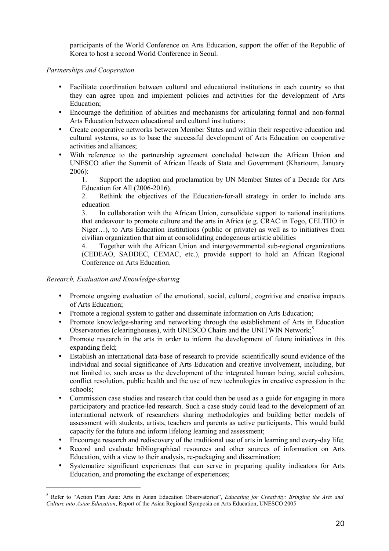participants of the World Conference on Arts Education, support the offer of the Republic of Korea to host a second World Conference in Seoul.

#### *Partnerships and Cooperation*

- Facilitate coordination between cultural and educational institutions in each country so that they can agree upon and implement policies and activities for the development of Arts Education;
- Encourage the definition of abilities and mechanisms for articulating formal and non-formal Arts Education between educational and cultural institutions;
- Create cooperative networks between Member States and within their respective education and cultural systems, so as to base the successful development of Arts Education on cooperative activities and alliances;
- With reference to the partnership agreement concluded between the African Union and UNESCO after the Summit of African Heads of State and Government (Khartoum, January  $2006$

1. Support the adoption and proclamation by UN Member States of a Decade for Arts Education for All (2006-2016).

2. Rethink the objectives of the Education-for-all strategy in order to include arts education

3. In collaboration with the African Union, consolidate support to national institutions that endeavour to promote culture and the arts in Africa (e.g. CRAC in Togo, CELTHO in Niger…), to Arts Education institutions (public or private) as well as to initiatives from civilian organization that aim at consolidating endogenous artistic abilities

4. Together with the African Union and intergovernmental sub-regional organizations (CEDEAO, SADDEC, CEMAC, etc.), provide support to hold an African Regional Conference on Arts Education.

#### *Research, Evaluation and Knowledge-sharing*

- Promote ongoing evaluation of the emotional, social, cultural, cognitive and creative impacts of Arts Education;
- Promote a regional system to gather and disseminate information on Arts Education;
- Promote knowledge-sharing and networking through the establishment of Arts in Education Observatories (clearinghouses), with UNESCO Chairs and the UNITWIN Network;<sup>8</sup>
- Promote research in the arts in order to inform the development of future initiatives in this expanding field;
- Establish an international data-base of research to provide scientifically sound evidence of the individual and social significance of Arts Education and creative involvement, including, but not limited to, such areas as the development of the integrated human being, social cohesion, conflict resolution, public health and the use of new technologies in creative expression in the schools;
- Commission case studies and research that could then be used as a guide for engaging in more participatory and practice-led research. Such a case study could lead to the development of an international network of researchers sharing methodologies and building better models of assessment with students, artists, teachers and parents as active participants. This would build capacity for the future and inform lifelong learning and assessment;
- Encourage research and rediscovery of the traditional use of arts in learning and every-day life;
- Record and evaluate bibliographical resources and other sources of information on Arts Education, with a view to their analysis, re-packaging and dissemination;
- Systematize significant experiences that can serve in preparing quality indicators for Arts Education, and promoting the exchange of experiences;

<sup>8</sup> Refer to "Action Plan Asia: Arts in Asian Education Observatories", *Educating for Creativity: Bringing the Arts and Culture into Asian Education*, Report of the Asian Regional Symposia on Arts Education, UNESCO 2005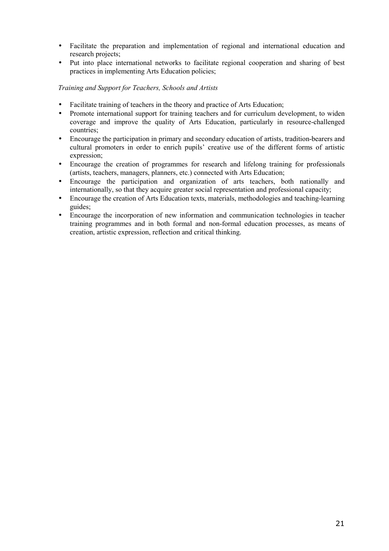- Facilitate the preparation and implementation of regional and international education and research projects;
- Put into place international networks to facilitate regional cooperation and sharing of best practices in implementing Arts Education policies;

#### *Training and Support for Teachers, Schools and Artists*

- Facilitate training of teachers in the theory and practice of Arts Education;
- Promote international support for training teachers and for curriculum development, to widen coverage and improve the quality of Arts Education, particularly in resource-challenged countries;
- Encourage the participation in primary and secondary education of artists, tradition-bearers and cultural promoters in order to enrich pupils' creative use of the different forms of artistic expression;
- Encourage the creation of programmes for research and lifelong training for professionals (artists, teachers, managers, planners, etc.) connected with Arts Education;
- Encourage the participation and organization of arts teachers, both nationally and internationally, so that they acquire greater social representation and professional capacity;
- Encourage the creation of Arts Education texts, materials, methodologies and teaching-learning guides;
- Encourage the incorporation of new information and communication technologies in teacher training programmes and in both formal and non-formal education processes, as means of creation, artistic expression, reflection and critical thinking.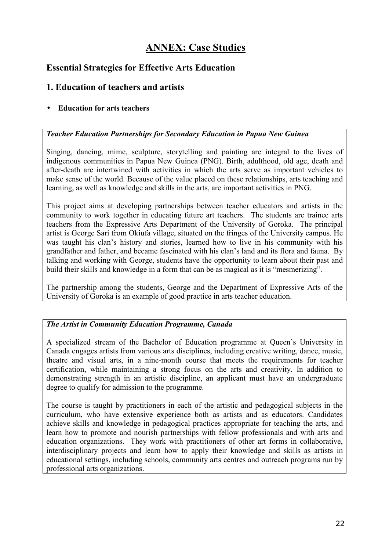## **ANNEX: Case Studies**

## **Essential Strategies for Effective Arts Education**

## **1. Education of teachers and artists**

## • **Education for arts teachers**

#### *Teacher Education Partnerships for Secondary Education in Papua New Guinea*

Singing, dancing, mime, sculpture, storytelling and painting are integral to the lives of indigenous communities in Papua New Guinea (PNG). Birth, adulthood, old age, death and after-death are intertwined with activities in which the arts serve as important vehicles to make sense of the world. Because of the value placed on these relationships, arts teaching and learning, as well as knowledge and skills in the arts, are important activities in PNG.

This project aims at developing partnerships between teacher educators and artists in the community to work together in educating future art teachers. The students are trainee arts teachers from the Expressive Arts Department of the University of Goroka. The principal artist is George Sari from Okiufa village, situated on the fringes of the University campus. He was taught his clan's history and stories, learned how to live in his community with his grandfather and father, and became fascinated with his clan's land and its flora and fauna. By talking and working with George, students have the opportunity to learn about their past and build their skills and knowledge in a form that can be as magical as it is "mesmerizing".

The partnership among the students, George and the Department of Expressive Arts of the University of Goroka is an example of good practice in arts teacher education.

#### *The Artist in Community Education Programme, Canada*

A specialized stream of the Bachelor of Education programme at Queen's University in Canada engages artists from various arts disciplines, including creative writing, dance, music, theatre and visual arts, in a nine-month course that meets the requirements for teacher certification, while maintaining a strong focus on the arts and creativity. In addition to demonstrating strength in an artistic discipline, an applicant must have an undergraduate degree to qualify for admission to the programme.

The course is taught by practitioners in each of the artistic and pedagogical subjects in the curriculum, who have extensive experience both as artists and as educators. Candidates achieve skills and knowledge in pedagogical practices appropriate for teaching the arts, and learn how to promote and nourish partnerships with fellow professionals and with arts and education organizations. They work with practitioners of other art forms in collaborative, interdisciplinary projects and learn how to apply their knowledge and skills as artists in educational settings, including schools, community arts centres and outreach programs run by professional arts organizations.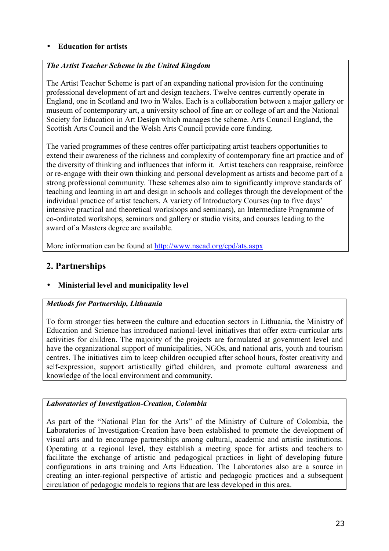#### • **Education for artists**

#### *The Artist Teacher Scheme in the United Kingdom*

The Artist Teacher Scheme is part of an expanding national provision for the continuing professional development of art and design teachers. Twelve centres currently operate in England, one in Scotland and two in Wales. Each is a collaboration between a major gallery or museum of contemporary art, a university school of fine art or college of art and the National Society for Education in Art Design which manages the scheme. Arts Council England, the Scottish Arts Council and the Welsh Arts Council provide core funding.

The varied programmes of these centres offer participating artist teachers opportunities to extend their awareness of the richness and complexity of contemporary fine art practice and of the diversity of thinking and influences that inform it. Artist teachers can reappraise, reinforce or re-engage with their own thinking and personal development as artists and become part of a strong professional community. These schemes also aim to significantly improve standards of teaching and learning in art and design in schools and colleges through the development of the individual practice of artist teachers. A variety of Introductory Courses (up to five days' intensive practical and theoretical workshops and seminars), an Intermediate Programme of co-ordinated workshops, seminars and gallery or studio visits, and courses leading to the award of a Masters degree are available.

More information can be found at http://www.nsead.org/cpd/ats.aspx

## **2. Partnerships**

## • **Ministerial level and municipality level**

## *Methods for Partnership, Lithuania*

To form stronger ties between the culture and education sectors in Lithuania, the Ministry of Education and Science has introduced national-level initiatives that offer extra-curricular arts activities for children. The majority of the projects are formulated at government level and have the organizational support of municipalities, NGOs, and national arts, youth and tourism centres. The initiatives aim to keep children occupied after school hours, foster creativity and self-expression, support artistically gifted children, and promote cultural awareness and knowledge of the local environment and community.

## *Laboratories of Investigation-Creation, Colombia*

As part of the "National Plan for the Arts" of the Ministry of Culture of Colombia, the Laboratories of Investigation-Creation have been established to promote the development of visual arts and to encourage partnerships among cultural, academic and artistic institutions. Operating at a regional level, they establish a meeting space for artists and teachers to facilitate the exchange of artistic and pedagogical practices in light of developing future configurations in arts training and Arts Education. The Laboratories also are a source in creating an inter-regional perspective of artistic and pedagogic practices and a subsequent circulation of pedagogic models to regions that are less developed in this area.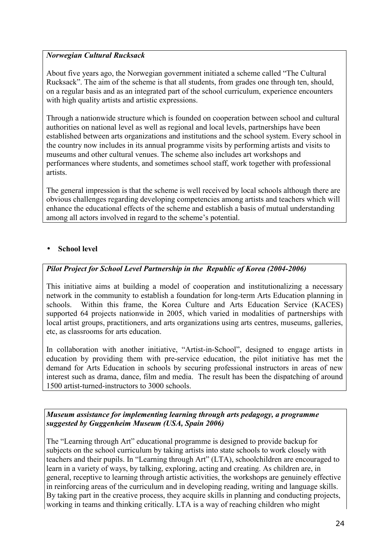#### *Norwegian Cultural Rucksack*

About five years ago, the Norwegian government initiated a scheme called "The Cultural Rucksack". The aim of the scheme is that all students, from grades one through ten, should, on a regular basis and as an integrated part of the school curriculum, experience encounters with high quality artists and artistic expressions.

Through a nationwide structure which is founded on cooperation between school and cultural authorities on national level as well as regional and local levels, partnerships have been established between arts organizations and institutions and the school system. Every school in the country now includes in its annual programme visits by performing artists and visits to museums and other cultural venues. The scheme also includes art workshops and performances where students, and sometimes school staff, work together with professional artists.

The general impression is that the scheme is well received by local schools although there are obvious challenges regarding developing competencies among artists and teachers which will enhance the educational effects of the scheme and establish a basis of mutual understanding among all actors involved in regard to the scheme's potential.

#### • **School level**

#### *Pilot Project for School Level Partnership in the Republic of Korea (2004-2006)*

This initiative aims at building a model of cooperation and institutionalizing a necessary network in the community to establish a foundation for long-term Arts Education planning in schools. Within this frame, the Korea Culture and Arts Education Service (KACES) supported 64 projects nationwide in 2005, which varied in modalities of partnerships with local artist groups, practitioners, and arts organizations using arts centres, museums, galleries, etc, as classrooms for arts education.

In collaboration with another initiative, "Artist-in-School", designed to engage artists in education by providing them with pre-service education, the pilot initiative has met the demand for Arts Education in schools by securing professional instructors in areas of new interest such as drama, dance, film and media. The result has been the dispatching of around 1500 artist-turned-instructors to 3000 schools.

#### *Museum assistance for implementing learning through arts pedagogy, a programme suggested by Guggenheim Museum (USA, Spain 2006)*

The "Learning through Art" educational programme is designed to provide backup for subjects on the school curriculum by taking artists into state schools to work closely with teachers and their pupils. In "Learning through Art" (LTA), schoolchildren are encouraged to learn in a variety of ways, by talking, exploring, acting and creating. As children are, in general, receptive to learning through artistic activities, the workshops are genuinely effective in reinforcing areas of the curriculum and in developing reading, writing and language skills. By taking part in the creative process, they acquire skills in planning and conducting projects, working in teams and thinking critically. LTA is a way of reaching children who might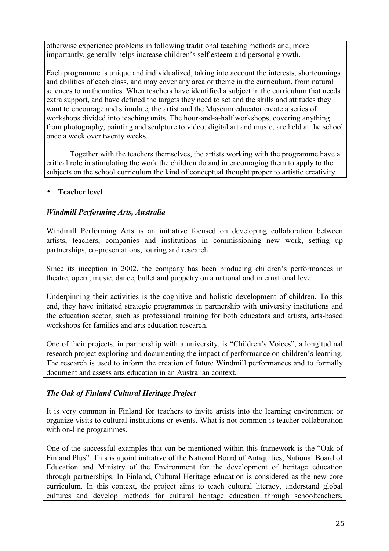otherwise experience problems in following traditional teaching methods and, more importantly, generally helps increase children's self esteem and personal growth.

Each programme is unique and individualized, taking into account the interests, shortcomings and abilities of each class, and may cover any area or theme in the curriculum, from natural sciences to mathematics. When teachers have identified a subject in the curriculum that needs extra support, and have defined the targets they need to set and the skills and attitudes they want to encourage and stimulate, the artist and the Museum educator create a series of workshops divided into teaching units. The hour-and-a-half workshops, covering anything from photography, painting and sculpture to video, digital art and music, are held at the school once a week over twenty weeks.

Together with the teachers themselves, the artists working with the programme have a critical role in stimulating the work the children do and in encouraging them to apply to the subjects on the school curriculum the kind of conceptual thought proper to artistic creativity.

## • **Teacher level**

## *Windmill Performing Arts, Australia*

Windmill Performing Arts is an initiative focused on developing collaboration between artists, teachers, companies and institutions in commissioning new work, setting up partnerships, co-presentations, touring and research.

Since its inception in 2002, the company has been producing children's performances in theatre, opera, music, dance, ballet and puppetry on a national and international level.

Underpinning their activities is the cognitive and holistic development of children. To this end, they have initiated strategic programmes in partnership with university institutions and the education sector, such as professional training for both educators and artists, arts-based workshops for families and arts education research.

One of their projects, in partnership with a university, is "Children's Voices", a longitudinal research project exploring and documenting the impact of performance on children's learning. The research is used to inform the creation of future Windmill performances and to formally document and assess arts education in an Australian context.

## *The Oak of Finland Cultural Heritage Project*

It is very common in Finland for teachers to invite artists into the learning environment or organize visits to cultural institutions or events. What is not common is teacher collaboration with on-line programmes.

One of the successful examples that can be mentioned within this framework is the "Oak of Finland Plus". This is a joint initiative of the National Board of Antiquities, National Board of Education and Ministry of the Environment for the development of heritage education through partnerships. In Finland, Cultural Heritage education is considered as the new core curriculum. In this context, the project aims to teach cultural literacy, understand global cultures and develop methods for cultural heritage education through schoolteachers,